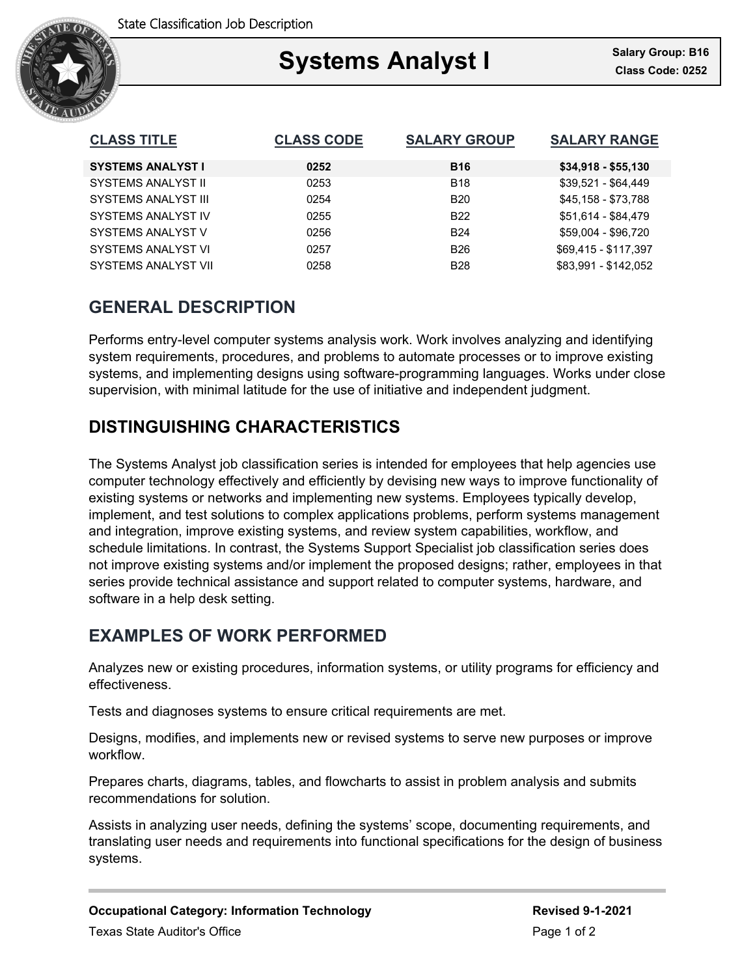

### Ξ **Systems Analyst I**

| <b>CLASS TITLE</b>         | <b>CLASS CODE</b> | <b>SALARY GROUP</b> | <b>SALARY RANGE</b>  |
|----------------------------|-------------------|---------------------|----------------------|
| <b>SYSTEMS ANALYST I</b>   | 0252              | <b>B16</b>          | $$34,918 - $55,130$  |
| SYSTEMS ANALYST II         | 0253              | <b>B18</b>          | \$39,521 - \$64,449  |
| SYSTEMS ANALYST III        | 0254              | <b>B20</b>          | \$45,158 - \$73,788  |
| SYSTEMS ANALYST IV         | 0255              | B <sub>22</sub>     | \$51,614 - \$84,479  |
| SYSTEMS ANALYST V          | 0256              | <b>B24</b>          | \$59,004 - \$96,720  |
| SYSTEMS ANALYST VI         | 0257              | <b>B26</b>          | \$69,415 - \$117,397 |
| <b>SYSTEMS ANALYST VII</b> | 0258              | <b>B28</b>          | \$83.991 - \$142.052 |

# **GENERAL DESCRIPTION**

Performs entry-level computer systems analysis work. Work involves analyzing and identifying system requirements, procedures, and problems to automate processes or to improve existing systems, and implementing designs using software-programming languages. Works under close supervision, with minimal latitude for the use of initiative and independent judgment.

## **DISTINGUISHING CHARACTERISTICS**

The Systems Analyst job classification series is intended for employees that help agencies use computer technology effectively and efficiently by devising new ways to improve functionality of existing systems or networks and implementing new systems. Employees typically develop, implement, and test solutions to complex applications problems, perform systems management and integration, improve existing systems, and review system capabilities, workflow, and schedule limitations. In contrast, the Systems Support Specialist job classification series does not improve existing systems and/or implement the proposed designs; rather, employees in that series provide technical assistance and support related to computer systems, hardware, and software in a help desk setting.

# **EXAMPLES OF WORK PERFORMED**

Analyzes new or existing procedures, information systems, or utility programs for efficiency and effectiveness.

Tests and diagnoses systems to ensure critical requirements are met.

Designs, modifies, and implements new or revised systems to serve new purposes or improve workflow.

Prepares charts, diagrams, tables, and flowcharts to assist in problem analysis and submits recommendations for solution.

Assists in analyzing user needs, defining the systems' scope, documenting requirements, and translating user needs and requirements into functional specifications for the design of business systems.